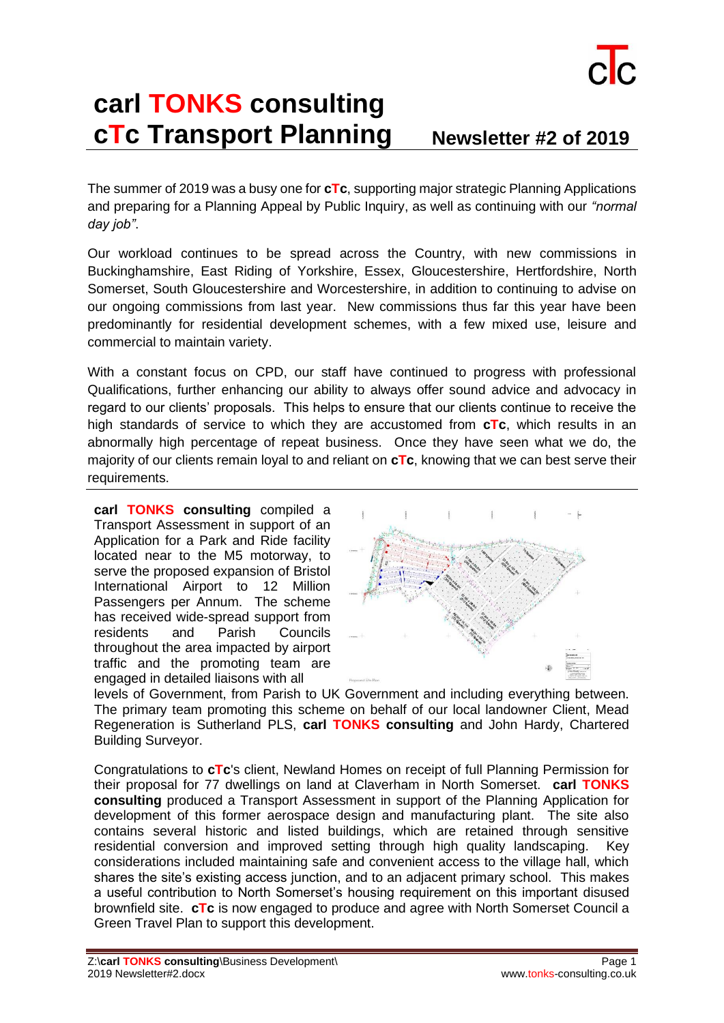

## **carl TONKS consulting cTc Transport Planning Newsletter #2 of 2019**

The summer of 2019 was a busy one for **cTc**, supporting major strategic Planning Applications and preparing for a Planning Appeal by Public Inquiry, as well as continuing with our *"normal day job"*.

Our workload continues to be spread across the Country, with new commissions in Buckinghamshire, East Riding of Yorkshire, Essex, Gloucestershire, Hertfordshire, North Somerset, South Gloucestershire and Worcestershire, in addition to continuing to advise on our ongoing commissions from last year. New commissions thus far this year have been predominantly for residential development schemes, with a few mixed use, leisure and commercial to maintain variety.

With a constant focus on CPD, our staff have continued to progress with professional Qualifications, further enhancing our ability to always offer sound advice and advocacy in regard to our clients' proposals. This helps to ensure that our clients continue to receive the high standards of service to which they are accustomed from **cTc**, which results in an abnormally high percentage of repeat business. Once they have seen what we do, the majority of our clients remain loyal to and reliant on **cTc**, knowing that we can best serve their requirements.

**carl TONKS consulting** compiled a Transport Assessment in support of an Application for a Park and Ride facility located near to the M5 motorway, to serve the proposed expansion of Bristol International Airport to 12 Million Passengers per Annum. The scheme has received wide-spread support from residents and Parish Councils throughout the area impacted by airport traffic and the promoting team are engaged in detailed liaisons with all



levels of Government, from Parish to UK Government and including everything between. The primary team promoting this scheme on behalf of our local landowner Client, Mead Regeneration is Sutherland PLS, **carl TONKS consulting** and John Hardy, Chartered Building Surveyor.

Congratulations to **cTc**'s client, Newland Homes on receipt of full Planning Permission for their proposal for 77 dwellings on land at Claverham in North Somerset. **carl TONKS consulting** produced a Transport Assessment in support of the Planning Application for development of this former aerospace design and manufacturing plant. The site also contains several historic and listed buildings, which are retained through sensitive residential conversion and improved setting through high quality landscaping. Key considerations included maintaining safe and convenient access to the village hall, which shares the site's existing access junction, and to an adjacent primary school. This makes a useful contribution to North Somerset's housing requirement on this important disused brownfield site. **cTc** is now engaged to produce and agree with North Somerset Council a Green Travel Plan to support this development.